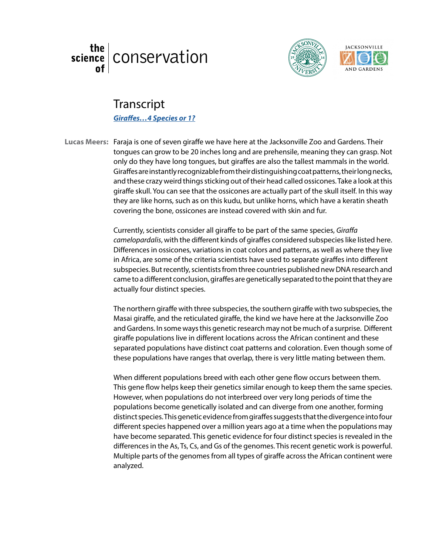





## l ranscript<br>*Giraffes…4 Species or 1?* **Transcript**

Lucas Meers: Faraja is one of seven giraffe we have here at the Jacksonville Zoo and Gardens. Their tongues can grow to be 20 inches long and are prehensile, meaning they can grasp. Not only do they have long tongues, but giraffes are also the tallest mammals in the world.<br>Giraffes are instantly recognizable from their distinguishing coat patterns, their long necks Giraffes are instantly recognizable from their distinguishing coat patterns, their long necks, and these crazy weird things sticking out of their head called ossicones. Take a look at this giraffe skull. You can see that the ossicones are actually part of the skull itself. In this way they are like horns, such as on this kudu, but unlike horns, which have a keratin sheath covering the bone, ossicones are instead covered with skin and fur.<br>Currently scientists consider all giraffe to be part of the same speci-

Currently, scientists consider all giraffe to be part of the same species, *Giraffa camelopardalis*, with the different kinds of giraffes considered subspecies like listed here. Differences in ossicones, variations in coat colors and patterns, as well as where they live in Africa, are some of the criteria scientists have used to separate giraffes into different subspecies. But recently, scientists from three countries published new DNA research and came to a different conclusion, giraffes are genetically separated to the point that they are actually four distinct species.

The northern giraffe with three subspecies, the southern giraffe with two subspecies, the Masai giraffe, and the reticulated giraffe, the kind we have here at the Jacksonville Zoo and Gardens. In some ways this genetic research may not be much of a surprise. Different giraffe populations live in different locations across the African continent and these separated populations have distinct coat patterns and coloration. Even though some of these populations have ranges that overlap, there is very little mating between them.

When different populations breed with each other gene flow occurs between them. This gene flow helps keep their genetics similar enough to keep them the same species. However, when populations do not interbreed over very long periods of time the populations become genetically isolated and can diverge from one another, forming distinct species. This genetic evidence from giraffes suggests that the divergence into four different species happened over a million years ago at a time when the populations may have become separated. This genetic evidence for four distinct species is revealed in the differences in the As, Ts, Cs, and Gs of the genomes. This recent genetic work is powerful. Multiple parts of the genomes from all types of giraffe across the African continent were analyzed.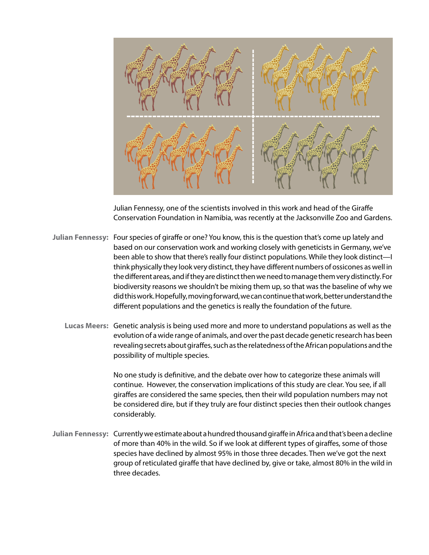

Julian Fennessy, one of the scientists involved in this work and head of the Giraffe Conservation Foundation in Namibia, was recently at the Jacksonville Zoo and Gardens.

- Julian Fennessy: Four species of giraffe or one? You know, this is the question that's come up lately and based on our conservation work and working closely with geneticists in Germany, we've been able to show that there's really four distinct populations. While they look distinct—I think physically they look very distinct, they have different numbers of ossicones as well in the different areas, and if they are distinct then we need to manage them very distinctly. For biodiversity reasons we shouldn't be mixing them up, so that was the baseline of why we did this work. Hopefully, moving forward, we can continue that work, better understand the different populations and the genetics is really the foundation of the future.
	- Lucas Meers: Genetic analysis is being used more and more to understand populations as well as the evolution of a wide range of animals, and over the past decade genetic research has been revealing secrets about giraffes, such as the relatedness of the African populations and the possibility of multiple species.

No one study is definitive, and the debate over how to categorize these animals will continue. However, the conservation implications of this study are clear. You see, if all giraffes are considered the same species, then their wild population numbers may not be considered dire, but if they truly are four distinct species then their outlook changes considerably.

Julian Fennessy: Currently we estimate about a hundred thousand giraffe in Africa and that's been a decline of more than 40% in the wild. So if we look at different types of giraffes, some of those species have declined by almost 95% in those three decades. Then we've got the next group of reticulated giraffe that have declined by, give or take, almost 80% in the wild in three decades.